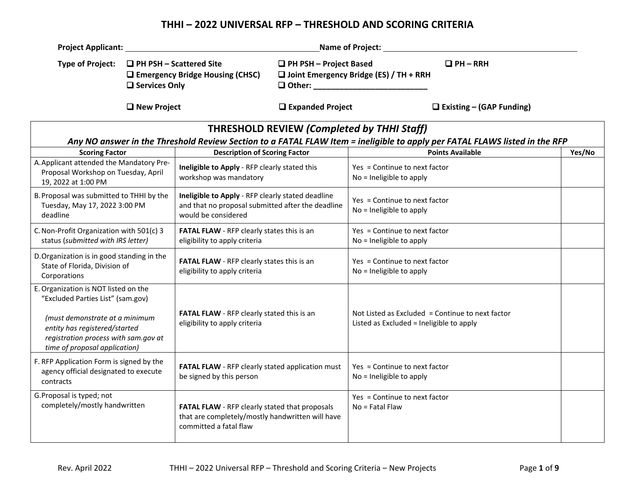## **THHI – 2022 UNIVERSAL RFP – THRESHOLD AND SCORING CRITERIA**

| <b>Project Applicant:</b>                                                                                                                |               |                                                                                                                               |                               | Name of Project: Name of Project:                                     |                                                                                                                            |        |
|------------------------------------------------------------------------------------------------------------------------------------------|---------------|-------------------------------------------------------------------------------------------------------------------------------|-------------------------------|-----------------------------------------------------------------------|----------------------------------------------------------------------------------------------------------------------------|--------|
| <b>Type of Project:</b><br>$\Box$ PH PSH – Scattered Site<br>$\Box$ Emergency Bridge Housing (CHSC)<br>□ Services Only                   |               |                                                                                                                               | $\Box$ PH PSH – Project Based | $\Box$ Joint Emergency Bridge (ES) / TH + RRH<br>$\Box$ Other: $\Box$ | $\Box$ PH – RRH                                                                                                            |        |
|                                                                                                                                          | □ New Project |                                                                                                                               | $\Box$ Expanded Project       |                                                                       | $\Box$ Existing – (GAP Funding)                                                                                            |        |
|                                                                                                                                          |               |                                                                                                                               |                               | <b>THRESHOLD REVIEW (Completed by THHI Staff)</b>                     | Any NO answer in the Threshold Review Section to a FATAL FLAW Item = ineligible to apply per FATAL FLAWS listed in the RFP |        |
| <b>Scoring Factor</b>                                                                                                                    |               | <b>Description of Scoring Factor</b>                                                                                          |                               |                                                                       | <b>Points Available</b>                                                                                                    | Yes/No |
| A. Applicant attended the Mandatory Pre-<br>Proposal Workshop on Tuesday, April<br>19, 2022 at 1:00 PM                                   |               | Ineligible to Apply - RFP clearly stated this<br>workshop was mandatory                                                       |                               | Yes = Continue to next factor<br>No = Ineligible to apply             |                                                                                                                            |        |
| B. Proposal was submitted to THHI by the<br>Tuesday, May 17, 2022 3:00 PM<br>deadline                                                    |               | Ineligible to Apply - RFP clearly stated deadline<br>and that no proposal submitted after the deadline<br>would be considered |                               | Yes = Continue to next factor<br>No = Ineligible to apply             |                                                                                                                            |        |
| C. Non-Profit Organization with 501(c) 3<br>status (submitted with IRS letter)                                                           |               | FATAL FLAW - RFP clearly states this is an<br>eligibility to apply criteria                                                   |                               | Yes = Continue to next factor<br>No = Ineligible to apply             |                                                                                                                            |        |
| D. Organization is in good standing in the<br>State of Florida, Division of<br>Corporations                                              |               | FATAL FLAW - RFP clearly states this is an<br>eligibility to apply criteria                                                   |                               | Yes = Continue to next factor<br>No = Ineligible to apply             |                                                                                                                            |        |
| E. Organization is NOT listed on the<br>"Excluded Parties List" (sam.gov)                                                                |               |                                                                                                                               |                               |                                                                       |                                                                                                                            |        |
| (must demonstrate at a minimum<br>entity has registered/started<br>registration process with sam.gov at<br>time of proposal application) |               | FATAL FLAW - RFP clearly stated this is an<br>eligibility to apply criteria                                                   |                               | Listed as Excluded = Ineligible to apply                              | Not Listed as Excluded = Continue to next factor                                                                           |        |
| F. RFP Application Form is signed by the<br>agency official designated to execute<br>contracts                                           |               | FATAL FLAW - RFP clearly stated application must<br>be signed by this person                                                  |                               | Yes = Continue to next factor<br>No = Ineligible to apply             |                                                                                                                            |        |
| G. Proposal is typed; not<br>completely/mostly handwritten                                                                               |               | FATAL FLAW - RFP clearly stated that proposals<br>that are completely/mostly handwritten will have<br>committed a fatal flaw  |                               | Yes = Continue to next factor<br>No = Fatal Flaw                      |                                                                                                                            |        |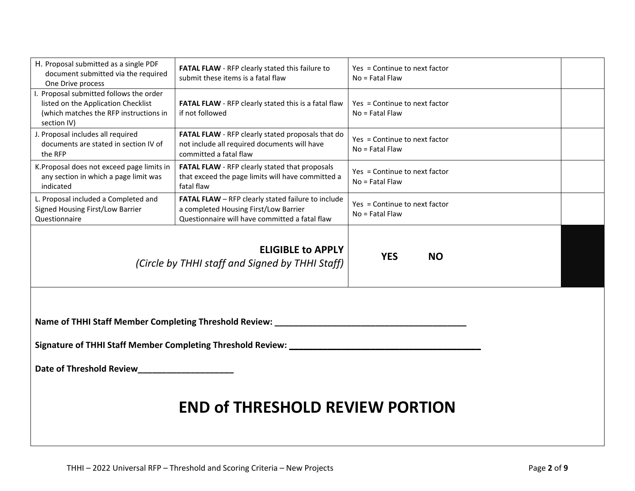| H. Proposal submitted as a single PDF<br>document submitted via the required<br>One Drive process                                                              | FATAL FLAW - RFP clearly stated this failure to<br>submit these items is a fatal flaw                                                         | Yes = Continue to next factor<br>$No =$ Fatal Flaw |  |  |
|----------------------------------------------------------------------------------------------------------------------------------------------------------------|-----------------------------------------------------------------------------------------------------------------------------------------------|----------------------------------------------------|--|--|
| I. Proposal submitted follows the order<br>listed on the Application Checklist<br>(which matches the RFP instructions in<br>section IV)                        | FATAL FLAW - RFP clearly stated this is a fatal flaw<br>if not followed                                                                       | Yes = Continue to next factor<br>No = Fatal Flaw   |  |  |
| J. Proposal includes all required<br>documents are stated in section IV of<br>the RFP                                                                          | FATAL FLAW - RFP clearly stated proposals that do<br>not include all required documents will have<br>committed a fatal flaw                   | Yes = Continue to next factor<br>$No = Fatal Flaw$ |  |  |
| K. Proposal does not exceed page limits in<br>any section in which a page limit was<br>indicated                                                               | FATAL FLAW - RFP clearly stated that proposals<br>that exceed the page limits will have committed a<br>fatal flaw                             | Yes = Continue to next factor<br>$No = Fatal Flaw$ |  |  |
| L. Proposal included a Completed and<br>Signed Housing First/Low Barrier<br>Questionnaire                                                                      | FATAL FLAW - RFP clearly stated failure to include<br>a completed Housing First/Low Barrier<br>Questionnaire will have committed a fatal flaw | Yes = Continue to next factor<br>No = Fatal Flaw   |  |  |
| (Circle by THHI staff and Signed by THHI Staff)                                                                                                                | <b>YES</b><br><b>NO</b>                                                                                                                       |                                                    |  |  |
| Name of THHI Staff Member Completing Threshold Review: ____________<br>Signature of THHI Staff Member Completing Threshold Review:<br>Date of Threshold Review |                                                                                                                                               |                                                    |  |  |
| <b>END of THRESHOLD REVIEW PORTION</b>                                                                                                                         |                                                                                                                                               |                                                    |  |  |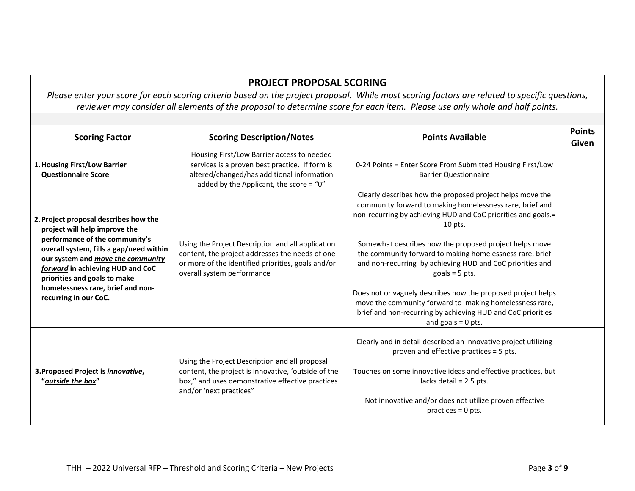## **PROJECT PROPOSAL SCORING**

Please enter your score for each scoring criteria based on the project proposal. While most scoring factors are related to specific questions, reviewer may consider all elements of the proposal to determine score for each item. Please use only whole and half points.

| <b>Scoring Factor</b>                                                                                                                                                                                                                                                                                                      | <b>Scoring Description/Notes</b>                                                                                                                                                         | <b>Points Available</b>                                                                                                                                                                                                                                                                                                                                                                                                                                                                                                                                                                                                      | <b>Points</b><br>Given |
|----------------------------------------------------------------------------------------------------------------------------------------------------------------------------------------------------------------------------------------------------------------------------------------------------------------------------|------------------------------------------------------------------------------------------------------------------------------------------------------------------------------------------|------------------------------------------------------------------------------------------------------------------------------------------------------------------------------------------------------------------------------------------------------------------------------------------------------------------------------------------------------------------------------------------------------------------------------------------------------------------------------------------------------------------------------------------------------------------------------------------------------------------------------|------------------------|
| 1. Housing First/Low Barrier<br><b>Questionnaire Score</b>                                                                                                                                                                                                                                                                 | Housing First/Low Barrier access to needed<br>services is a proven best practice. If form is<br>altered/changed/has additional information<br>added by the Applicant, the score = "0"    | 0-24 Points = Enter Score From Submitted Housing First/Low<br><b>Barrier Questionnaire</b>                                                                                                                                                                                                                                                                                                                                                                                                                                                                                                                                   |                        |
| 2. Project proposal describes how the<br>project will help improve the<br>performance of the community's<br>overall system, fills a gap/need within<br>our system and move the community<br>forward in achieving HUD and CoC<br>priorities and goals to make<br>homelessness rare, brief and non-<br>recurring in our CoC. | Using the Project Description and all application<br>content, the project addresses the needs of one<br>or more of the identified priorities, goals and/or<br>overall system performance | Clearly describes how the proposed project helps move the<br>community forward to making homelessness rare, brief and<br>non-recurring by achieving HUD and CoC priorities and goals.=<br>$10$ pts.<br>Somewhat describes how the proposed project helps move<br>the community forward to making homelessness rare, brief<br>and non-recurring by achieving HUD and CoC priorities and<br>goals = $5$ pts.<br>Does not or vaguely describes how the proposed project helps<br>move the community forward to making homelessness rare,<br>brief and non-recurring by achieving HUD and CoC priorities<br>and goals $= 0$ pts. |                        |
| 3. Proposed Project is <i>innovative</i> ,<br>"outside the box"                                                                                                                                                                                                                                                            | Using the Project Description and all proposal<br>content, the project is innovative, 'outside of the<br>box," and uses demonstrative effective practices<br>and/or 'next practices"     | Clearly and in detail described an innovative project utilizing<br>proven and effective practices = 5 pts.<br>Touches on some innovative ideas and effective practices, but<br>lacks detail = $2.5$ pts.<br>Not innovative and/or does not utilize proven effective<br>practices = $0$ pts.                                                                                                                                                                                                                                                                                                                                  |                        |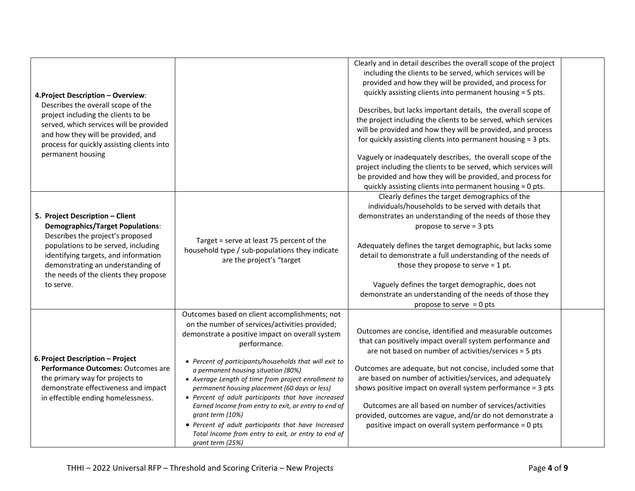|                                            |                                                        | Clearly and in detail describes the overall scope of the project |  |
|--------------------------------------------|--------------------------------------------------------|------------------------------------------------------------------|--|
|                                            |                                                        | including the clients to be served, which services will be       |  |
|                                            |                                                        | provided and how they will be provided, and process for          |  |
|                                            |                                                        | quickly assisting clients into permanent housing = 5 pts.        |  |
| 4. Project Description - Overview:         |                                                        |                                                                  |  |
| Describes the overall scope of the         |                                                        | Describes, but lacks important details, the overall scope of     |  |
| project including the clients to be        |                                                        | the project including the clients to be served, which services   |  |
| served, which services will be provided    |                                                        | will be provided and how they will be provided, and process      |  |
| and how they will be provided, and         |                                                        |                                                                  |  |
| process for quickly assisting clients into |                                                        | for quickly assisting clients into permanent housing = 3 pts.    |  |
| permanent housing                          |                                                        | Vaguely or inadequately describes, the overall scope of the      |  |
|                                            |                                                        | project including the clients to be served, which services will  |  |
|                                            |                                                        | be provided and how they will be provided, and process for       |  |
|                                            |                                                        |                                                                  |  |
|                                            |                                                        | quickly assisting clients into permanent housing = 0 pts.        |  |
|                                            |                                                        | Clearly defines the target demographics of the                   |  |
|                                            |                                                        | individuals/households to be served with details that            |  |
| 5. Project Description - Client            |                                                        | demonstrates an understanding of the needs of those they         |  |
| <b>Demographics/Target Populations:</b>    |                                                        | propose to serve = 3 pts                                         |  |
| Describes the project's proposed           | Target = serve at least 75 percent of the              |                                                                  |  |
| populations to be served, including        | household type / sub-populations they indicate         | Adequately defines the target demographic, but lacks some        |  |
| identifying targets, and information       | are the project's "target                              | detail to demonstrate a full understanding of the needs of       |  |
| demonstrating an understanding of          |                                                        | those they propose to serve $=$ 1 pt.                            |  |
| the needs of the clients they propose      |                                                        |                                                                  |  |
| to serve.                                  |                                                        | Vaguely defines the target demographic, does not                 |  |
|                                            |                                                        | demonstrate an understanding of the needs of those they          |  |
|                                            |                                                        | propose to serve $= 0$ pts                                       |  |
|                                            | Outcomes based on client accomplishments; not          |                                                                  |  |
|                                            | on the number of services/activities provided;         |                                                                  |  |
|                                            | demonstrate a positive impact on overall system        | Outcomes are concise, identified and measurable outcomes         |  |
|                                            | performance.                                           | that can positively impact overall system performance and        |  |
|                                            |                                                        | are not based on number of activities/services = 5 pts           |  |
| 6. Project Description - Project           | • Percent of participants/households that will exit to |                                                                  |  |
| Performance Outcomes: Outcomes are         | a permanent housing situation (80%)                    | Outcomes are adequate, but not concise, included some that       |  |
| the primary way for projects to            | • Average Length of time from project enrollment to    | are based on number of activities/services, and adequately       |  |
| demonstrate effectiveness and impact       | permanent housing placement (60 days or less)          | shows positive impact on overall system performance = 3 pts      |  |
| in effectible ending homelessness.         | • Percent of adult participants that have increased    |                                                                  |  |
|                                            | Earned Income from entry to exit, or entry to end of   | Outcomes are all based on number of services/activities          |  |
|                                            | grant term (10%)                                       | provided, outcomes are vague, and/or do not demonstrate a        |  |
|                                            | • Percent of adult participants that have Increased    | positive impact on overall system performance = 0 pts            |  |
|                                            | Total Income from entry to exit, or entry to end of    |                                                                  |  |
|                                            | grant term (25%)                                       |                                                                  |  |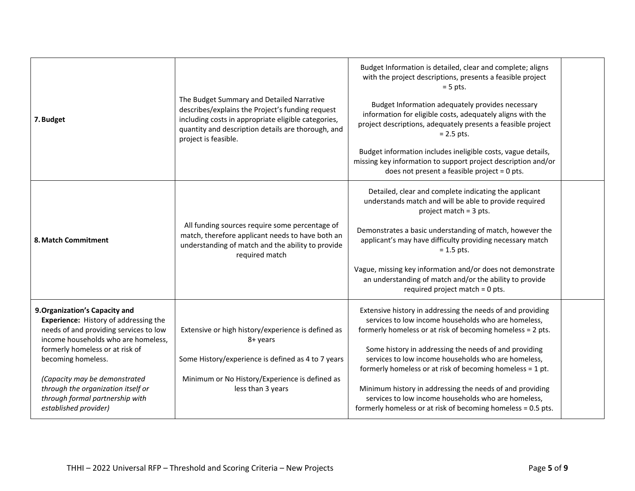| 7. Budget                                                                                                                                                                                                                                                                                                                                                   | The Budget Summary and Detailed Narrative<br>describes/explains the Project's funding request<br>including costs in appropriate eligible categories,<br>quantity and description details are thorough, and<br>project is feasible. | Budget Information is detailed, clear and complete; aligns<br>with the project descriptions, presents a feasible project<br>$= 5$ pts.<br>Budget Information adequately provides necessary<br>information for eligible costs, adequately aligns with the<br>project descriptions, adequately presents a feasible project<br>$= 2.5$ pts.<br>Budget information includes ineligible costs, vague details,<br>missing key information to support project description and/or<br>does not present a feasible project = 0 pts.                       |  |
|-------------------------------------------------------------------------------------------------------------------------------------------------------------------------------------------------------------------------------------------------------------------------------------------------------------------------------------------------------------|------------------------------------------------------------------------------------------------------------------------------------------------------------------------------------------------------------------------------------|-------------------------------------------------------------------------------------------------------------------------------------------------------------------------------------------------------------------------------------------------------------------------------------------------------------------------------------------------------------------------------------------------------------------------------------------------------------------------------------------------------------------------------------------------|--|
| 8. Match Commitment                                                                                                                                                                                                                                                                                                                                         | All funding sources require some percentage of<br>match, therefore applicant needs to have both an<br>understanding of match and the ability to provide<br>required match                                                          | Detailed, clear and complete indicating the applicant<br>understands match and will be able to provide required<br>project match = 3 pts.<br>Demonstrates a basic understanding of match, however the<br>applicant's may have difficulty providing necessary match<br>$= 1.5$ pts.<br>Vague, missing key information and/or does not demonstrate<br>an understanding of match and/or the ability to provide<br>required project match = 0 pts.                                                                                                  |  |
| 9. Organization's Capacity and<br><b>Experience:</b> History of addressing the<br>needs of and providing services to low<br>income households who are homeless,<br>formerly homeless or at risk of<br>becoming homeless.<br>(Capacity may be demonstrated<br>through the organization itself or<br>through formal partnership with<br>established provider) | Extensive or high history/experience is defined as<br>8+ years<br>Some History/experience is defined as 4 to 7 years<br>Minimum or No History/Experience is defined as<br>less than 3 years                                        | Extensive history in addressing the needs of and providing<br>services to low income households who are homeless,<br>formerly homeless or at risk of becoming homeless = 2 pts.<br>Some history in addressing the needs of and providing<br>services to low income households who are homeless,<br>formerly homeless or at risk of becoming homeless = 1 pt.<br>Minimum history in addressing the needs of and providing<br>services to low income households who are homeless,<br>formerly homeless or at risk of becoming homeless = 0.5 pts. |  |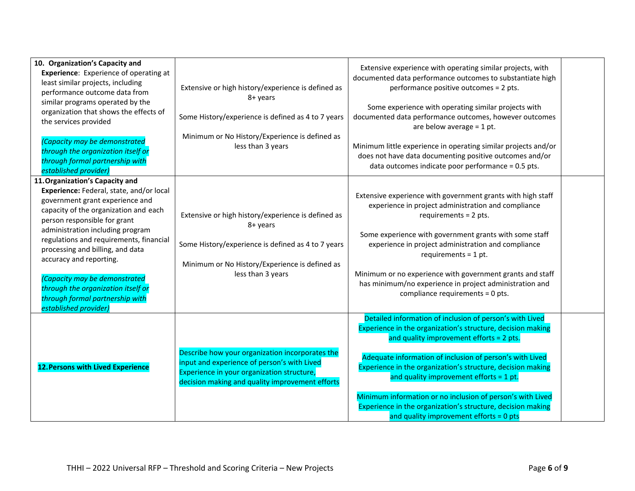| 10. Organization's Capacity and<br><b>Experience:</b> Experience of operating at<br>least similar projects, including<br>performance outcome data from<br>similar programs operated by the<br>organization that shows the effects of<br>the services provided<br>(Capacity may be demonstrated<br>through the organization itself or<br>through formal partnership with<br>established provider)                                                                         | Extensive or high history/experience is defined as<br>8+ years<br>Some History/experience is defined as 4 to 7 years<br>Minimum or No History/Experience is defined as<br>less than 3 years     | Extensive experience with operating similar projects, with<br>documented data performance outcomes to substantiate high<br>performance positive outcomes = 2 pts.<br>Some experience with operating similar projects with<br>documented data performance outcomes, however outcomes<br>are below average $= 1$ pt.<br>Minimum little experience in operating similar projects and/or<br>does not have data documenting positive outcomes and/or<br>data outcomes indicate poor performance = 0.5 pts.                 |  |
|--------------------------------------------------------------------------------------------------------------------------------------------------------------------------------------------------------------------------------------------------------------------------------------------------------------------------------------------------------------------------------------------------------------------------------------------------------------------------|-------------------------------------------------------------------------------------------------------------------------------------------------------------------------------------------------|-----------------------------------------------------------------------------------------------------------------------------------------------------------------------------------------------------------------------------------------------------------------------------------------------------------------------------------------------------------------------------------------------------------------------------------------------------------------------------------------------------------------------|--|
| 11. Organization's Capacity and<br>Experience: Federal, state, and/or local<br>government grant experience and<br>capacity of the organization and each<br>person responsible for grant<br>administration including program<br>regulations and requirements, financial<br>processing and billing, and data<br>accuracy and reporting.<br>(Capacity may be demonstrated<br>through the organization itself or<br>through formal partnership with<br>established provider) | Extensive or high history/experience is defined as<br>8+ years<br>Some History/experience is defined as 4 to 7 years<br>Minimum or No History/Experience is defined as<br>less than 3 years     | Extensive experience with government grants with high staff<br>experience in project administration and compliance<br>requirements = 2 pts.<br>Some experience with government grants with some staff<br>experience in project administration and compliance<br>requirements = $1$ pt.<br>Minimum or no experience with government grants and staff<br>has minimum/no experience in project administration and<br>compliance requirements = 0 pts.                                                                    |  |
| <b>12. Persons with Lived Experience</b>                                                                                                                                                                                                                                                                                                                                                                                                                                 | Describe how your organization incorporates the<br>input and experience of person's with Lived<br>Experience in your organization structure,<br>decision making and quality improvement efforts | Detailed information of inclusion of person's with Lived<br>Experience in the organization's structure, decision making<br>and quality improvement efforts = 2 pts.<br>Adequate information of inclusion of person's with Lived<br>Experience in the organization's structure, decision making<br>and quality improvement efforts = $1$ pt.<br>Minimum information or no inclusion of person's with Lived<br>Experience in the organization's structure, decision making<br>and quality improvement efforts = $0$ pts |  |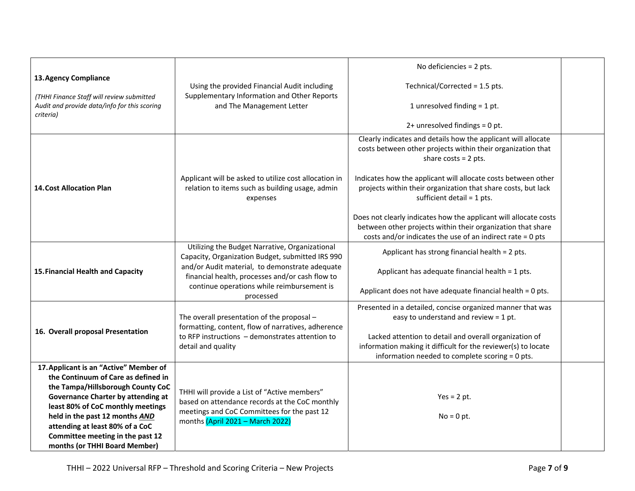|                                                                                                                                                       |                                                                                                                                                                                   | No deficiencies = 2 pts.                                                                                                                                                                      |  |
|-------------------------------------------------------------------------------------------------------------------------------------------------------|-----------------------------------------------------------------------------------------------------------------------------------------------------------------------------------|-----------------------------------------------------------------------------------------------------------------------------------------------------------------------------------------------|--|
| 13. Agency Compliance                                                                                                                                 | Using the provided Financial Audit including                                                                                                                                      | Technical/Corrected = 1.5 pts.                                                                                                                                                                |  |
| (THHI Finance Staff will review submitted<br>Audit and provide data/info for this scoring<br>criteria)                                                | Supplementary Information and Other Reports<br>and The Management Letter                                                                                                          | 1 unresolved finding = 1 pt.                                                                                                                                                                  |  |
|                                                                                                                                                       |                                                                                                                                                                                   | $2+$ unresolved findings = 0 pt.                                                                                                                                                              |  |
|                                                                                                                                                       |                                                                                                                                                                                   | Clearly indicates and details how the applicant will allocate<br>costs between other projects within their organization that<br>share $costs = 2 pts.$                                        |  |
| <b>14. Cost Allocation Plan</b>                                                                                                                       | Applicant will be asked to utilize cost allocation in<br>relation to items such as building usage, admin<br>expenses                                                              | Indicates how the applicant will allocate costs between other<br>projects within their organization that share costs, but lack<br>sufficient detail = 1 pts.                                  |  |
|                                                                                                                                                       |                                                                                                                                                                                   | Does not clearly indicates how the applicant will allocate costs<br>between other projects within their organization that share<br>costs and/or indicates the use of an indirect rate = 0 pts |  |
|                                                                                                                                                       | Utilizing the Budget Narrative, Organizational<br>Capacity, Organization Budget, submitted IRS 990                                                                                | Applicant has strong financial health = 2 pts.                                                                                                                                                |  |
| 15. Financial Health and Capacity                                                                                                                     | and/or Audit material, to demonstrate adequate<br>financial health, processes and/or cash flow to                                                                                 | Applicant has adequate financial health = 1 pts.                                                                                                                                              |  |
|                                                                                                                                                       | continue operations while reimbursement is<br>processed                                                                                                                           | Applicant does not have adequate financial health = 0 pts.                                                                                                                                    |  |
|                                                                                                                                                       | The overall presentation of the proposal -<br>formatting, content, flow of narratives, adherence                                                                                  | Presented in a detailed, concise organized manner that was<br>easy to understand and review = $1$ pt.                                                                                         |  |
| 16. Overall proposal Presentation                                                                                                                     | to RFP instructions - demonstrates attention to<br>detail and quality                                                                                                             | Lacked attention to detail and overall organization of<br>information making it difficult for the reviewer(s) to locate<br>information needed to complete scoring = 0 pts.                    |  |
| 17. Applicant is an "Active" Member of<br>the Continuum of Care as defined in                                                                         |                                                                                                                                                                                   |                                                                                                                                                                                               |  |
| the Tampa/Hillsborough County CoC<br><b>Governance Charter by attending at</b><br>least 80% of CoC monthly meetings<br>held in the past 12 months AND | THHI will provide a List of "Active members"<br>based on attendance records at the CoC monthly<br>meetings and CoC Committees for the past 12<br>months (April 2021 - March 2022) | $Yes = 2 pt.$<br>$No = 0 pt.$                                                                                                                                                                 |  |
| attending at least 80% of a CoC<br>Committee meeting in the past 12<br>months (or THHI Board Member)                                                  |                                                                                                                                                                                   |                                                                                                                                                                                               |  |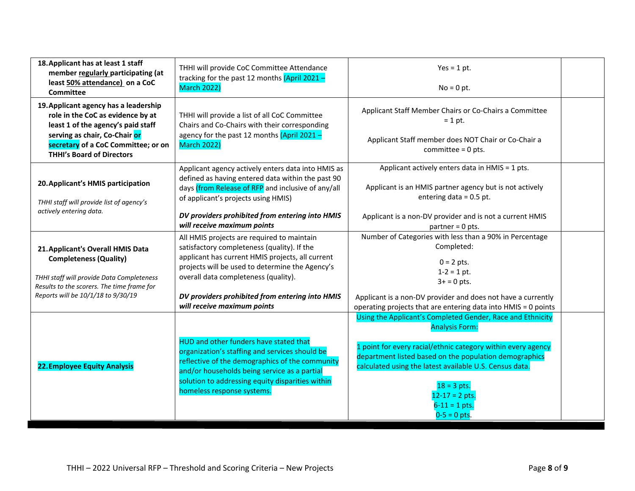| 18. Applicant has at least 1 staff<br>THHI will provide CoC Committee Attendance<br>member regularly participating (at<br>tracking for the past 12 months $(Apri 2021 -$<br>least 50% attendance) on a CoC<br><b>March 2022)</b><br><b>Committee</b> |                                                                                                                                                                                                                                                                                                                            | $Yes = 1 pt.$<br>$No = 0 pt.$                                                                                                                                                                                                                                                                                                                          |  |
|------------------------------------------------------------------------------------------------------------------------------------------------------------------------------------------------------------------------------------------------------|----------------------------------------------------------------------------------------------------------------------------------------------------------------------------------------------------------------------------------------------------------------------------------------------------------------------------|--------------------------------------------------------------------------------------------------------------------------------------------------------------------------------------------------------------------------------------------------------------------------------------------------------------------------------------------------------|--|
| 19. Applicant agency has a leadership<br>role in the CoC as evidence by at<br>least 1 of the agency's paid staff<br>serving as chair, Co-Chair or<br>secretary of a CoC Committee; or on<br><b>THHI's Board of Directors</b>                         | THHI will provide a list of all CoC Committee<br>Chairs and Co-Chairs with their corresponding<br>agency for the past 12 months (April 2021 -<br><b>March 2022)</b>                                                                                                                                                        | Applicant Staff Member Chairs or Co-Chairs a Committee<br>$= 1$ pt.<br>Applicant Staff member does NOT Chair or Co-Chair a<br>committee = $0$ pts.                                                                                                                                                                                                     |  |
| 20. Applicant's HMIS participation<br>THHI staff will provide list of agency's<br>actively entering data.                                                                                                                                            | Applicant agency actively enters data into HMIS as<br>defined as having entered data within the past 90<br>days (from Release of RFP and inclusive of any/all<br>of applicant's projects using HMIS)<br>DV providers prohibited from entering into HMIS<br>will receive maximum points                                     | Applicant actively enters data in HMIS = 1 pts.<br>Applicant is an HMIS partner agency but is not actively<br>entering data = $0.5$ pt.<br>Applicant is a non-DV provider and is not a current HMIS<br>$partner = 0 pts.$                                                                                                                              |  |
| 21. Applicant's Overall HMIS Data<br><b>Completeness (Quality)</b><br>THHI staff will provide Data Completeness<br>Results to the scorers. The time frame for<br>Reports will be 10/1/18 to 9/30/19                                                  | All HMIS projects are required to maintain<br>satisfactory completeness (quality). If the<br>applicant has current HMIS projects, all current<br>projects will be used to determine the Agency's<br>overall data completeness (quality).<br>DV providers prohibited from entering into HMIS<br>will receive maximum points | Number of Categories with less than a 90% in Percentage<br>Completed:<br>$0 = 2$ pts.<br>$1-2 = 1$ pt.<br>$3+ = 0$ pts.<br>Applicant is a non-DV provider and does not have a currently<br>operating projects that are entering data into HMIS = 0 points                                                                                              |  |
| <b>22. Employee Equity Analysis</b>                                                                                                                                                                                                                  | HUD and other funders have stated that<br>organization's staffing and services should be<br>reflective of the demographics of the community<br>and/or households being service as a partial<br>solution to addressing equity disparities within<br>homeless response systems.                                              | Using the Applicant's Completed Gender, Race and Ethnicity<br><b>Analysis Form:</b><br>1 point for every racial/ethnic category within every agency<br>department listed based on the population demographics<br>calculated using the latest available U.S. Census data.<br>$18 = 3$ pts.<br>$12 - 17 = 2$ pts.<br>$6 - 11 = 1$ pts.<br>$0-5 = 0$ pts. |  |